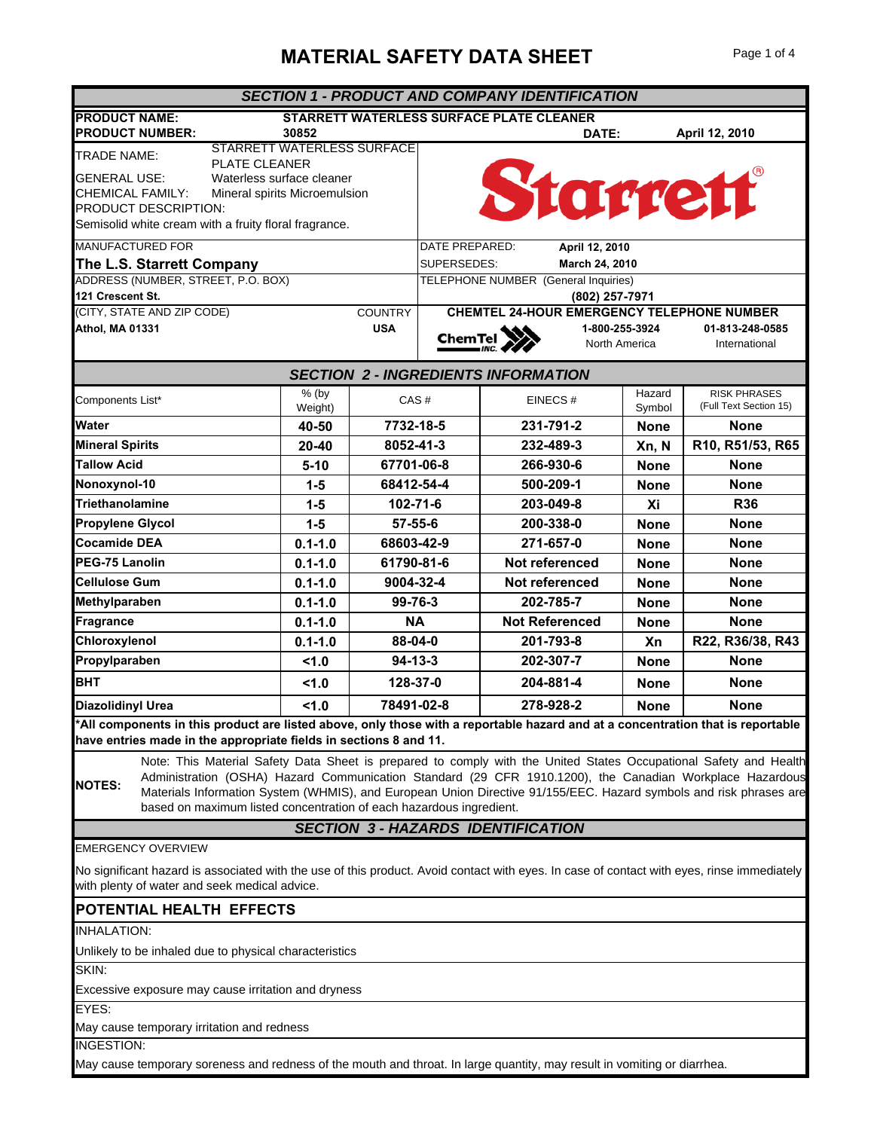## **MATERIAL SAFETY DATA SHEET** Page 1 of 4

| <b>SECTION 1 - PRODUCT AND COMPANY IDENTIFICATION</b>                                                                                                                                                                         |                                                                                          |                |                                                        |                                            |                |             |                        |  |
|-------------------------------------------------------------------------------------------------------------------------------------------------------------------------------------------------------------------------------|------------------------------------------------------------------------------------------|----------------|--------------------------------------------------------|--------------------------------------------|----------------|-------------|------------------------|--|
| <b>PRODUCT NAME:</b><br><b>STARRETT WATERLESS SURFACE PLATE CLEANER</b>                                                                                                                                                       |                                                                                          |                |                                                        |                                            |                |             |                        |  |
| <b>PRODUCT NUMBER:</b><br>STARRETT WATERLESS SURFACE                                                                                                                                                                          | 30852                                                                                    |                |                                                        |                                            | DATE:          |             | April 12, 2010         |  |
| <b>TRADE NAME:</b><br><b>PLATE CLEANER</b>                                                                                                                                                                                    |                                                                                          |                |                                                        |                                            |                |             |                        |  |
| <b>GENERAL USE:</b><br>Waterless surface cleaner                                                                                                                                                                              |                                                                                          |                |                                                        | Starrett                                   |                |             |                        |  |
| CHEMICAL FAMILY:<br>Mineral spirits Microemulsion                                                                                                                                                                             |                                                                                          |                |                                                        |                                            |                |             |                        |  |
| PRODUCT DESCRIPTION:                                                                                                                                                                                                          |                                                                                          |                |                                                        |                                            |                |             |                        |  |
| Semisolid white cream with a fruity floral fragrance.                                                                                                                                                                         |                                                                                          |                |                                                        |                                            |                |             |                        |  |
| <b>MANUFACTURED FOR</b>                                                                                                                                                                                                       |                                                                                          |                | DATE PREPARED:<br>April 12, 2010                       |                                            |                |             |                        |  |
| The L.S. Starrett Company<br>ADDRESS (NUMBER, STREET, P.O. BOX)                                                                                                                                                               |                                                                                          |                | SUPERSEDES:<br>March 24, 2010                          |                                            |                |             |                        |  |
| 121 Crescent St.                                                                                                                                                                                                              |                                                                                          |                | TELEPHONE NUMBER (General Inquiries)<br>(802) 257-7971 |                                            |                |             |                        |  |
| (CITY, STATE AND ZIP CODE)                                                                                                                                                                                                    |                                                                                          | <b>COUNTRY</b> | <b>CHEMTEL 24-HOUR EMERGENCY TELEPHONE NUMBER</b>      |                                            |                |             |                        |  |
| <b>Athol, MA 01331</b>                                                                                                                                                                                                        |                                                                                          | <b>USA</b>     |                                                        |                                            | 1-800-255-3924 |             | 01-813-248-0585        |  |
|                                                                                                                                                                                                                               |                                                                                          |                |                                                        | ChemTel                                    | North America  |             | International          |  |
|                                                                                                                                                                                                                               |                                                                                          |                |                                                        | <b>SECTION 2 - INGREDIENTS INFORMATION</b> |                |             |                        |  |
|                                                                                                                                                                                                                               | % (by                                                                                    |                |                                                        |                                            |                | Hazard      | <b>RISK PHRASES</b>    |  |
| Components List*                                                                                                                                                                                                              | Weight)                                                                                  | CAS#           |                                                        | EINECS#                                    |                | Symbol      | (Full Text Section 15) |  |
| Water                                                                                                                                                                                                                         | 40-50                                                                                    | 7732-18-5      |                                                        | 231-791-2                                  |                | <b>None</b> | <b>None</b>            |  |
| <b>Mineral Spirits</b>                                                                                                                                                                                                        | $20 - 40$                                                                                | 8052-41-3      |                                                        | 232-489-3                                  |                | Xn, N       | R10, R51/53, R65       |  |
| <b>Tallow Acid</b>                                                                                                                                                                                                            | $5-10$                                                                                   | 67701-06-8     |                                                        | 266-930-6                                  |                | <b>None</b> | <b>None</b>            |  |
| Nonoxynol-10                                                                                                                                                                                                                  | $1-5$                                                                                    | 68412-54-4     |                                                        | 500-209-1                                  |                | <b>None</b> | <b>None</b>            |  |
| <b>Triethanolamine</b>                                                                                                                                                                                                        | $1-5$                                                                                    | 102-71-6       |                                                        | 203-049-8                                  |                | Xi          | <b>R36</b>             |  |
| Propylene Glycol                                                                                                                                                                                                              | $1-5$                                                                                    | $57 - 55 - 6$  |                                                        | 200-338-0                                  |                | <b>None</b> | <b>None</b>            |  |
| <b>Cocamide DEA</b>                                                                                                                                                                                                           | $0.1 - 1.0$                                                                              | 68603-42-9     |                                                        | 271-657-0                                  |                | <b>None</b> | <b>None</b>            |  |
| PEG-75 Lanolin                                                                                                                                                                                                                | $0.1 - 1.0$                                                                              | 61790-81-6     |                                                        | Not referenced                             |                | <b>None</b> | <b>None</b>            |  |
| <b>Cellulose Gum</b>                                                                                                                                                                                                          | $0.1 - 1.0$                                                                              | 9004-32-4      |                                                        | Not referenced                             |                | <b>None</b> | <b>None</b>            |  |
| Methylparaben                                                                                                                                                                                                                 | $0.1 - 1.0$                                                                              | 99-76-3        |                                                        | 202-785-7                                  |                | <b>None</b> | <b>None</b>            |  |
| Fragrance                                                                                                                                                                                                                     | $0.1 - 1.0$                                                                              | <b>NA</b>      |                                                        | <b>Not Referenced</b>                      |                | None        | <b>None</b>            |  |
| Chloroxylenol                                                                                                                                                                                                                 | $0.1 - 1.0$                                                                              | 88-04-0        |                                                        | 201-793-8                                  |                | Xn          | R22, R36/38, R43       |  |
| Propylparaben                                                                                                                                                                                                                 | 1.0                                                                                      |                | $94 - 13 - 3$<br>202-307-7<br><b>None</b>              |                                            |                | <b>None</b> |                        |  |
| <b>BHT</b>                                                                                                                                                                                                                    | 1.0                                                                                      | 128-37-0       | 204-881-4                                              |                                            | <b>None</b>    | <b>None</b> |                        |  |
|                                                                                                                                                                                                                               |                                                                                          |                |                                                        |                                            |                |             |                        |  |
|                                                                                                                                                                                                                               | <b>Diazolidinyl Urea</b><br>78491-02-8<br>278-928-2<br>1.0<br><b>None</b><br><b>None</b> |                |                                                        |                                            |                |             |                        |  |
| All components in this product are listed above, only those with a reportable hazard and at a concentration that is reportable                                                                                                |                                                                                          |                |                                                        |                                            |                |             |                        |  |
| have entries made in the appropriate fields in sections 8 and 11.                                                                                                                                                             |                                                                                          |                |                                                        |                                            |                |             |                        |  |
| Note: This Material Safety Data Sheet is prepared to comply with the United States Occupational Safety and Health<br>Administration (OSHA) Hazard Communication Standard (29 CFR 1910.1200), the Canadian Workplace Hazardous |                                                                                          |                |                                                        |                                            |                |             |                        |  |
| <b>NOTES:</b><br>Materials Information System (WHMIS), and European Union Directive 91/155/EEC. Hazard symbols and risk phrases are                                                                                           |                                                                                          |                |                                                        |                                            |                |             |                        |  |
| based on maximum listed concentration of each hazardous ingredient.                                                                                                                                                           |                                                                                          |                |                                                        |                                            |                |             |                        |  |
| <b>SECTION 3 - HAZARDS IDENTIFICATION</b>                                                                                                                                                                                     |                                                                                          |                |                                                        |                                            |                |             |                        |  |
| EMERGENCY OVERVIEW                                                                                                                                                                                                            |                                                                                          |                |                                                        |                                            |                |             |                        |  |
| No significant hazard is associated with the use of this product. Avoid contact with eyes. In case of contact with eyes, rinse immediately<br>with plenty of water and seek medical advice.                                   |                                                                                          |                |                                                        |                                            |                |             |                        |  |
| POTENTIAL HEALTH EFFECTS                                                                                                                                                                                                      |                                                                                          |                |                                                        |                                            |                |             |                        |  |
| INHALATION:                                                                                                                                                                                                                   |                                                                                          |                |                                                        |                                            |                |             |                        |  |
| Unlikely to be inhaled due to physical characteristics                                                                                                                                                                        |                                                                                          |                |                                                        |                                            |                |             |                        |  |
| SKIN:                                                                                                                                                                                                                         |                                                                                          |                |                                                        |                                            |                |             |                        |  |
| Excessive exposure may cause irritation and dryness                                                                                                                                                                           |                                                                                          |                |                                                        |                                            |                |             |                        |  |
| EYES:                                                                                                                                                                                                                         |                                                                                          |                |                                                        |                                            |                |             |                        |  |
| May cause temporary irritation and redness                                                                                                                                                                                    |                                                                                          |                |                                                        |                                            |                |             |                        |  |
| INGESTION:                                                                                                                                                                                                                    |                                                                                          |                |                                                        |                                            |                |             |                        |  |
| May cause temporary soreness and redness of the mouth and throat. In large quantity, may result in vomiting or diarrhea.                                                                                                      |                                                                                          |                |                                                        |                                            |                |             |                        |  |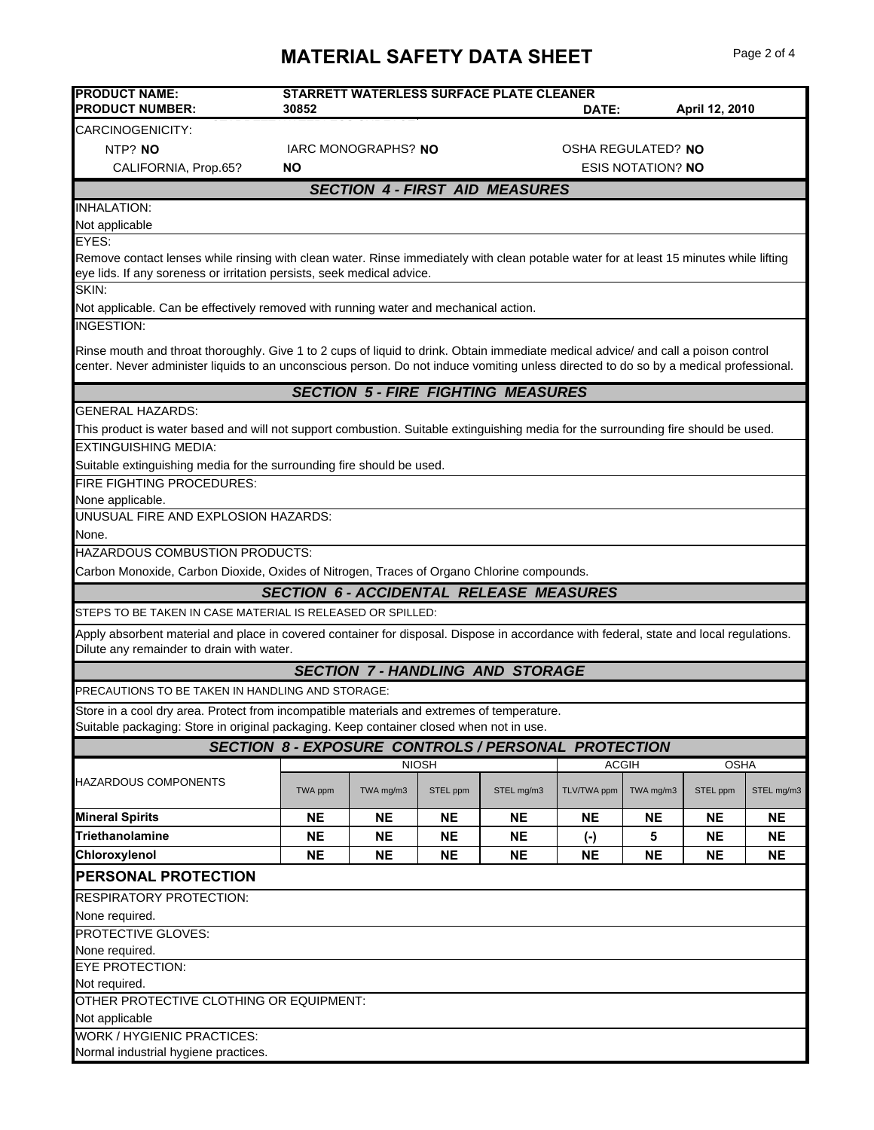## **MATERIAL SAFETY DATA SHEET** Page 2 of 4

| <b>PRODUCT NAME:</b>                                                                                                                                                                                                                                                        |                                           |           |              | STARRETT WATERLESS SURFACE PLATE CLEANER                   |                             |           |                |            |
|-----------------------------------------------------------------------------------------------------------------------------------------------------------------------------------------------------------------------------------------------------------------------------|-------------------------------------------|-----------|--------------|------------------------------------------------------------|-----------------------------|-----------|----------------|------------|
| <b>PRODUCT NUMBER:</b>                                                                                                                                                                                                                                                      | 30852                                     |           |              |                                                            | DATE:                       |           | April 12, 2010 |            |
| CARCINOGENICITY:                                                                                                                                                                                                                                                            |                                           |           |              |                                                            |                             |           |                |            |
| NTP? NO                                                                                                                                                                                                                                                                     | IARC MONOGRAPHS? NO<br>OSHA REGULATED? NO |           |              |                                                            |                             |           |                |            |
| CALIFORNIA, Prop.65?                                                                                                                                                                                                                                                        | <b>ESIS NOTATION? NO</b><br>NΟ            |           |              |                                                            |                             |           |                |            |
|                                                                                                                                                                                                                                                                             |                                           |           |              | <b>SECTION 4 - FIRST AID MEASURES</b>                      |                             |           |                |            |
| <b>INHALATION:</b>                                                                                                                                                                                                                                                          |                                           |           |              |                                                            |                             |           |                |            |
| Not applicable                                                                                                                                                                                                                                                              |                                           |           |              |                                                            |                             |           |                |            |
| EYES:                                                                                                                                                                                                                                                                       |                                           |           |              |                                                            |                             |           |                |            |
| Remove contact lenses while rinsing with clean water. Rinse immediately with clean potable water for at least 15 minutes while lifting<br>eye lids. If any soreness or irritation persists, seek medical advice.                                                            |                                           |           |              |                                                            |                             |           |                |            |
| SKIN:<br>Not applicable. Can be effectively removed with running water and mechanical action.                                                                                                                                                                               |                                           |           |              |                                                            |                             |           |                |            |
| <b>INGESTION:</b>                                                                                                                                                                                                                                                           |                                           |           |              |                                                            |                             |           |                |            |
|                                                                                                                                                                                                                                                                             |                                           |           |              |                                                            |                             |           |                |            |
| Rinse mouth and throat thoroughly. Give 1 to 2 cups of liquid to drink. Obtain immediate medical advice/ and call a poison control<br>center. Never administer liquids to an unconscious person. Do not induce vomiting unless directed to do so by a medical professional. |                                           |           |              |                                                            |                             |           |                |            |
|                                                                                                                                                                                                                                                                             |                                           |           |              | <b>SECTION 5 - FIRE FIGHTING MEASURES</b>                  |                             |           |                |            |
| <b>GENERAL HAZARDS:</b>                                                                                                                                                                                                                                                     |                                           |           |              |                                                            |                             |           |                |            |
| This product is water based and will not support combustion. Suitable extinguishing media for the surrounding fire should be used.                                                                                                                                          |                                           |           |              |                                                            |                             |           |                |            |
| <b>EXTINGUISHING MEDIA:</b>                                                                                                                                                                                                                                                 |                                           |           |              |                                                            |                             |           |                |            |
| Suitable extinguishing media for the surrounding fire should be used.                                                                                                                                                                                                       |                                           |           |              |                                                            |                             |           |                |            |
| FIRE FIGHTING PROCEDURES:                                                                                                                                                                                                                                                   |                                           |           |              |                                                            |                             |           |                |            |
| None applicable.                                                                                                                                                                                                                                                            |                                           |           |              |                                                            |                             |           |                |            |
| UNUSUAL FIRE AND EXPLOSION HAZARDS:                                                                                                                                                                                                                                         |                                           |           |              |                                                            |                             |           |                |            |
| None.                                                                                                                                                                                                                                                                       |                                           |           |              |                                                            |                             |           |                |            |
| HAZARDOUS COMBUSTION PRODUCTS:                                                                                                                                                                                                                                              |                                           |           |              |                                                            |                             |           |                |            |
| Carbon Monoxide, Carbon Dioxide, Oxides of Nitrogen, Traces of Organo Chlorine compounds.                                                                                                                                                                                   |                                           |           |              |                                                            |                             |           |                |            |
|                                                                                                                                                                                                                                                                             |                                           |           |              | <b>SECTION 6 - ACCIDENTAL RELEASE MEASURES</b>             |                             |           |                |            |
| STEPS TO BE TAKEN IN CASE MATERIAL IS RELEASED OR SPILLED:                                                                                                                                                                                                                  |                                           |           |              |                                                            |                             |           |                |            |
| Apply absorbent material and place in covered container for disposal. Dispose in accordance with federal, state and local regulations.<br>Dilute any remainder to drain with water.                                                                                         |                                           |           |              |                                                            |                             |           |                |            |
| <b>SECTION 7-HANDLING AND STORAGE</b>                                                                                                                                                                                                                                       |                                           |           |              |                                                            |                             |           |                |            |
| PRECAUTIONS TO BE TAKEN IN HANDLING AND STORAGE:                                                                                                                                                                                                                            |                                           |           |              |                                                            |                             |           |                |            |
| Store in a cool dry area. Protect from incompatible materials and extremes of temperature.                                                                                                                                                                                  |                                           |           |              |                                                            |                             |           |                |            |
| Suitable packaging: Store in original packaging. Keep container closed when not in use.                                                                                                                                                                                     |                                           |           |              |                                                            |                             |           |                |            |
|                                                                                                                                                                                                                                                                             |                                           |           |              | <b>SECTION 8 - EXPOSURE CONTROLS / PERSONAL PROTECTION</b> |                             |           |                |            |
|                                                                                                                                                                                                                                                                             |                                           |           | <b>NIOSH</b> |                                                            | <b>ACGIH</b><br><b>OSHA</b> |           |                |            |
| HAZARDOUS COMPONENTS                                                                                                                                                                                                                                                        | TWA ppm                                   | TWA mg/m3 | STEL ppm     | STEL mg/m3                                                 | TLV/TWA ppm                 | TWA mg/m3 | STEL ppm       | STEL mg/m3 |
| <b>Mineral Spirits</b>                                                                                                                                                                                                                                                      | <b>NE</b>                                 | <b>NE</b> | <b>NE</b>    | <b>NE</b>                                                  | <b>NE</b>                   | <b>NE</b> | <b>NE</b>      | <b>NE</b>  |
| Triethanolamine                                                                                                                                                                                                                                                             | <b>NE</b>                                 | <b>NE</b> | <b>NE</b>    | <b>NE</b>                                                  | $(\cdot)$                   | 5         | <b>NE</b>      | <b>NE</b>  |
| Chloroxylenol                                                                                                                                                                                                                                                               | <b>NE</b>                                 | <b>NE</b> | <b>NE</b>    | <b>NE</b>                                                  | <b>NE</b>                   | <b>NE</b> | <b>NE</b>      | <b>NE</b>  |
| PERSONAL PROTECTION                                                                                                                                                                                                                                                         |                                           |           |              |                                                            |                             |           |                |            |
| RESPIRATORY PROTECTION:                                                                                                                                                                                                                                                     |                                           |           |              |                                                            |                             |           |                |            |
| None required.                                                                                                                                                                                                                                                              |                                           |           |              |                                                            |                             |           |                |            |
| <b>PROTECTIVE GLOVES:</b>                                                                                                                                                                                                                                                   |                                           |           |              |                                                            |                             |           |                |            |
| None required.                                                                                                                                                                                                                                                              |                                           |           |              |                                                            |                             |           |                |            |
| <b>EYE PROTECTION:</b>                                                                                                                                                                                                                                                      |                                           |           |              |                                                            |                             |           |                |            |
| Not required.                                                                                                                                                                                                                                                               |                                           |           |              |                                                            |                             |           |                |            |
| OTHER PROTECTIVE CLOTHING OR EQUIPMENT:                                                                                                                                                                                                                                     |                                           |           |              |                                                            |                             |           |                |            |
| Not applicable                                                                                                                                                                                                                                                              |                                           |           |              |                                                            |                             |           |                |            |
| <b>WORK / HYGIENIC PRACTICES:</b>                                                                                                                                                                                                                                           |                                           |           |              |                                                            |                             |           |                |            |
| Normal industrial hygiene practices.                                                                                                                                                                                                                                        |                                           |           |              |                                                            |                             |           |                |            |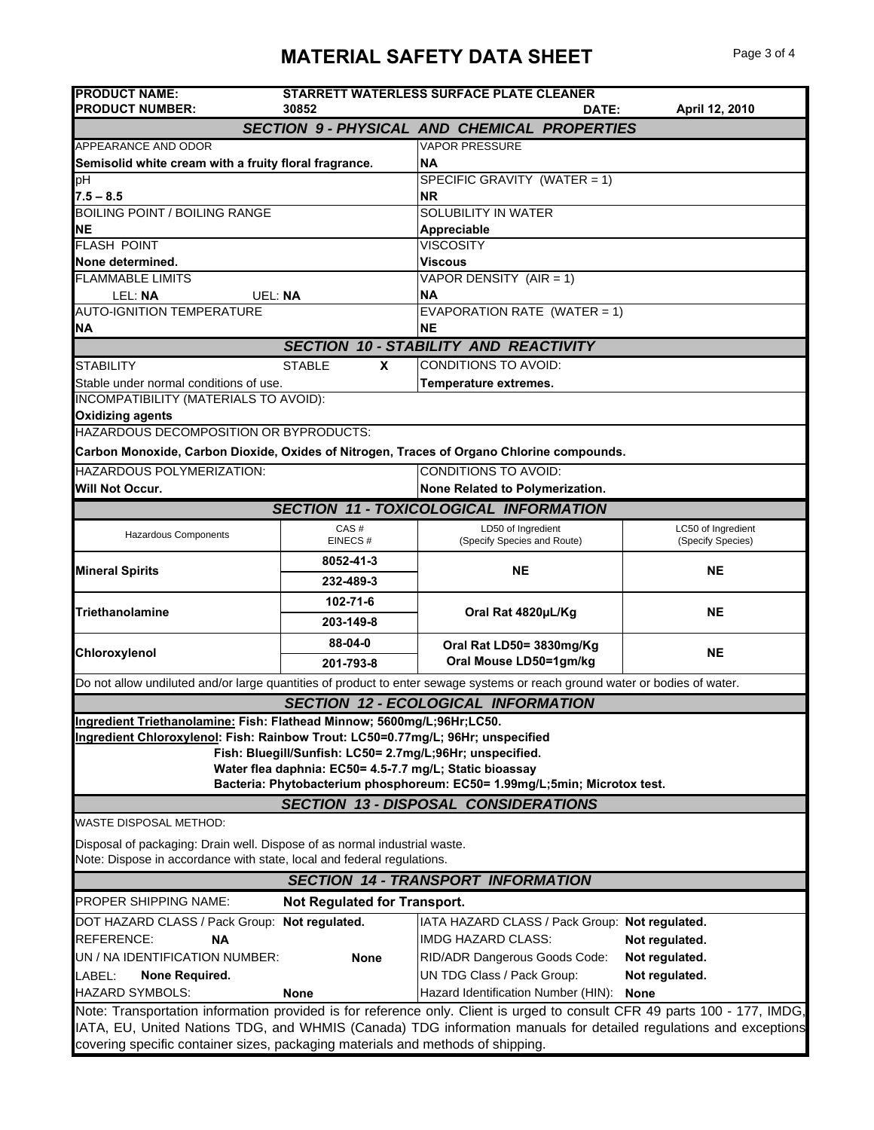| <b>PRODUCT NAME:</b><br><b>PRODUCT NUMBER:</b>                                                                                                                                                                                                                                                                                   | 30852                                                                                                               | <b>STARRETT WATERLESS SURFACE PLATE CLEANER</b><br>DATE:                                                                    | April 12, 2010                          |  |  |  |
|----------------------------------------------------------------------------------------------------------------------------------------------------------------------------------------------------------------------------------------------------------------------------------------------------------------------------------|---------------------------------------------------------------------------------------------------------------------|-----------------------------------------------------------------------------------------------------------------------------|-----------------------------------------|--|--|--|
|                                                                                                                                                                                                                                                                                                                                  |                                                                                                                     | <b>SECTION 9- PHYSICAL AND CHEMICAL PROPERTIES</b>                                                                          |                                         |  |  |  |
| APPEARANCE AND ODOR                                                                                                                                                                                                                                                                                                              |                                                                                                                     | <b>VAPOR PRESSURE</b>                                                                                                       |                                         |  |  |  |
| Semisolid white cream with a fruity floral fragrance.                                                                                                                                                                                                                                                                            |                                                                                                                     | <b>NA</b>                                                                                                                   |                                         |  |  |  |
| рH                                                                                                                                                                                                                                                                                                                               |                                                                                                                     | SPECIFIC GRAVITY (WATER = 1)                                                                                                |                                         |  |  |  |
| $7.5 - 8.5$                                                                                                                                                                                                                                                                                                                      |                                                                                                                     | <b>NR</b>                                                                                                                   |                                         |  |  |  |
| <b>BOILING POINT / BOILING RANGE</b>                                                                                                                                                                                                                                                                                             |                                                                                                                     | SOLUBILITY IN WATER                                                                                                         |                                         |  |  |  |
| NΕ<br><b>FLASH POINT</b>                                                                                                                                                                                                                                                                                                         |                                                                                                                     | Appreciable                                                                                                                 |                                         |  |  |  |
| None determined.                                                                                                                                                                                                                                                                                                                 |                                                                                                                     | <b>VISCOSITY</b><br><b>Viscous</b>                                                                                          |                                         |  |  |  |
| <b>FLAMMABLE LIMITS</b>                                                                                                                                                                                                                                                                                                          |                                                                                                                     | VAPOR DENSITY (AIR = 1)                                                                                                     |                                         |  |  |  |
| LEL: NA<br>UEL: NA                                                                                                                                                                                                                                                                                                               |                                                                                                                     | <b>NA</b>                                                                                                                   |                                         |  |  |  |
| <b>AUTO-IGNITION TEMPERATURE</b>                                                                                                                                                                                                                                                                                                 |                                                                                                                     | EVAPORATION RATE (WATER = 1)                                                                                                |                                         |  |  |  |
| <b>NA</b>                                                                                                                                                                                                                                                                                                                        |                                                                                                                     | <b>NE</b>                                                                                                                   |                                         |  |  |  |
|                                                                                                                                                                                                                                                                                                                                  |                                                                                                                     | <b>SECTION 10 - STABILITY AND REACTIVITY</b>                                                                                |                                         |  |  |  |
| <b>STABILITY</b>                                                                                                                                                                                                                                                                                                                 | <b>STABLE</b><br><b>X</b>                                                                                           | <b>CONDITIONS TO AVOID:</b>                                                                                                 |                                         |  |  |  |
| Stable under normal conditions of use.                                                                                                                                                                                                                                                                                           |                                                                                                                     | Temperature extremes.                                                                                                       |                                         |  |  |  |
| INCOMPATIBILITY (MATERIALS TO AVOID):                                                                                                                                                                                                                                                                                            |                                                                                                                     |                                                                                                                             |                                         |  |  |  |
| <b>Oxidizing agents</b>                                                                                                                                                                                                                                                                                                          |                                                                                                                     |                                                                                                                             |                                         |  |  |  |
| HAZARDOUS DECOMPOSITION OR BYPRODUCTS:                                                                                                                                                                                                                                                                                           |                                                                                                                     |                                                                                                                             |                                         |  |  |  |
|                                                                                                                                                                                                                                                                                                                                  |                                                                                                                     | Carbon Monoxide, Carbon Dioxide, Oxides of Nitrogen, Traces of Organo Chlorine compounds.                                   |                                         |  |  |  |
| <b>HAZARDOUS POLYMERIZATION:</b>                                                                                                                                                                                                                                                                                                 |                                                                                                                     | <b>CONDITIONS TO AVOID:</b>                                                                                                 |                                         |  |  |  |
| <b>Will Not Occur.</b>                                                                                                                                                                                                                                                                                                           |                                                                                                                     | None Related to Polymerization.                                                                                             |                                         |  |  |  |
|                                                                                                                                                                                                                                                                                                                                  |                                                                                                                     | <b>SECTION 11 - TOXICOLOGICAL INFORMATION</b>                                                                               |                                         |  |  |  |
| <b>Hazardous Components</b>                                                                                                                                                                                                                                                                                                      | CAS#<br>EINECS#                                                                                                     | LD50 of Ingredient<br>(Specify Species and Route)                                                                           | LC50 of Ingredient<br>(Specify Species) |  |  |  |
|                                                                                                                                                                                                                                                                                                                                  | 8052-41-3                                                                                                           |                                                                                                                             |                                         |  |  |  |
| <b>Mineral Spirits</b>                                                                                                                                                                                                                                                                                                           | 232-489-3                                                                                                           | <b>NE</b>                                                                                                                   | <b>NE</b>                               |  |  |  |
|                                                                                                                                                                                                                                                                                                                                  | 102-71-6                                                                                                            |                                                                                                                             |                                         |  |  |  |
| Triethanolamine                                                                                                                                                                                                                                                                                                                  | 203-149-8                                                                                                           | Oral Rat 4820µL/Kg                                                                                                          | <b>NE</b>                               |  |  |  |
|                                                                                                                                                                                                                                                                                                                                  | 88-04-0                                                                                                             |                                                                                                                             |                                         |  |  |  |
| Chloroxylenol                                                                                                                                                                                                                                                                                                                    | 201-793-8                                                                                                           | Oral Rat LD50= 3830mg/Kg<br>Oral Mouse LD50=1gm/kg                                                                          | <b>NE</b>                               |  |  |  |
|                                                                                                                                                                                                                                                                                                                                  |                                                                                                                     |                                                                                                                             |                                         |  |  |  |
|                                                                                                                                                                                                                                                                                                                                  |                                                                                                                     | Do not allow undiluted and/or large quantities of product to enter sewage systems or reach ground water or bodies of water. |                                         |  |  |  |
|                                                                                                                                                                                                                                                                                                                                  |                                                                                                                     | <b>SECTION 12 - ECOLOGICAL INFORMATION</b>                                                                                  |                                         |  |  |  |
| Ingredient Triethanolamine: Fish: Flathead Minnow; 5600mg/L;96Hr;LC50.<br>Ingredient Chloroxylenol: Fish: Rainbow Trout: LC50=0.77mg/L; 96Hr; unspecified                                                                                                                                                                        | Fish: Bluegill/Sunfish: LC50= 2.7mg/L;96Hr; unspecified.<br>Water flea daphnia: EC50= 4.5-7.7 mg/L; Static bioassay | Bacteria: Phytobacterium phosphoreum: EC50= 1.99mg/L;5min; Microtox test.<br><b>SECTION 13 - DISPOSAL CONSIDERATIONS</b>    |                                         |  |  |  |
|                                                                                                                                                                                                                                                                                                                                  |                                                                                                                     |                                                                                                                             |                                         |  |  |  |
| WASTE DISPOSAL METHOD:                                                                                                                                                                                                                                                                                                           |                                                                                                                     |                                                                                                                             |                                         |  |  |  |
| Disposal of packaging: Drain well. Dispose of as normal industrial waste.<br>Note: Dispose in accordance with state, local and federal regulations.                                                                                                                                                                              |                                                                                                                     |                                                                                                                             |                                         |  |  |  |
| <b>SECTION 14 - TRANSPORT INFORMATION</b>                                                                                                                                                                                                                                                                                        |                                                                                                                     |                                                                                                                             |                                         |  |  |  |
| <b>PROPER SHIPPING NAME:</b><br><b>Not Regulated for Transport.</b>                                                                                                                                                                                                                                                              |                                                                                                                     |                                                                                                                             |                                         |  |  |  |
| DOT HAZARD CLASS / Pack Group: Not regulated.                                                                                                                                                                                                                                                                                    |                                                                                                                     | IATA HAZARD CLASS / Pack Group: Not regulated.                                                                              |                                         |  |  |  |
| REFERENCE:<br><b>NA</b>                                                                                                                                                                                                                                                                                                          |                                                                                                                     | <b>IMDG HAZARD CLASS:</b>                                                                                                   | Not regulated.                          |  |  |  |
| UN / NA IDENTIFICATION NUMBER:                                                                                                                                                                                                                                                                                                   | <b>None</b>                                                                                                         | RID/ADR Dangerous Goods Code:                                                                                               | Not regulated.                          |  |  |  |
| LABEL:<br>None Required.                                                                                                                                                                                                                                                                                                         |                                                                                                                     | UN TDG Class / Pack Group:                                                                                                  | Not regulated.                          |  |  |  |
| <b>HAZARD SYMBOLS:</b>                                                                                                                                                                                                                                                                                                           | None                                                                                                                | Hazard Identification Number (HIN):                                                                                         | <b>None</b>                             |  |  |  |
| Note: Transportation information provided is for reference only. Client is urged to consult CFR 49 parts 100 - 177, IMDG,<br>IATA, EU, United Nations TDG, and WHMIS (Canada) TDG information manuals for detailed regulations and exceptions<br>covering specific container sizes, packaging materials and methods of shipping. |                                                                                                                     |                                                                                                                             |                                         |  |  |  |